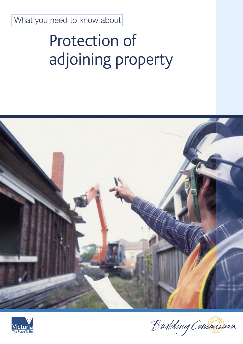What you need to know about

# Protection of adjoining property





Bujlding Commission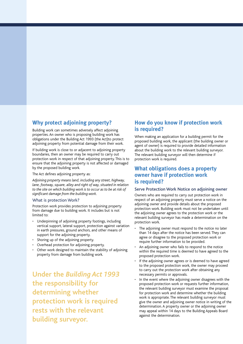## **Why protect adjoining property?**

Building work can sometimes adversely affect adjoining properties. An owner who is proposing building work has obligations under the Building Act 1993 (the Act)to protect adjoining property from potential damage from their work.

If building work is close to or adjacent to adjoining property boundaries, then an owner may be required to carry out protection work in respect of that adjoining property. This is to ensure that the adjoining property is not affected or damaged by the proposed building work.

The Act defines adjoining property as:

*Adjoining property means land, including any street, highway, lane, footway, square, alley and right of way, situated in relation to the site on which building work is to occur as to be at risk of significant damage from the building work.*

#### What is protection Work?

Protection work provides protection to adjoining property from damage due to building work. It includes but is not limited to:

- Underpinning of adjoining property footings, including vertical support, lateral support, protection against variation in earth pressures, ground anchors, and other means of support for the adjoining property.
- Shoring up of the adjoining property.
- Overhead protection for adjoining property.
- Other work designed to maintain the stability of adjoining property from damage from building work.

**Under the** *Building Act 1993* **the responsibility for determining whether protection work is required rests with the relevant building surveyor.**

## **How do you know if protection work is required?**

When making an application for a building permit for the proposed building work, the applicant (the building owner or agent of owner) is required to provide detailed information about the building work to the relevant building surveyor. The relevant building surveyor will then determine if protection work is required.

## **What obligations does a property owner have if protection work is required?**

## Serve Protection Work Notice on adjoining owner

Owners who are required to carry out protection work in respect of an adjoining property must serve a notice on the adjoining owner and provide details about the proposed protection work. Building work must not be undertaken until the adjoining owner agrees to the protection work or the relevant building surveyor has made a determination on the protection work.

- The adjoining owner must respond to the notice no later than 14 days after the notice has been served. They can agree or disagree to the proposed protection work or require further information to be provided.
- An adjoining owner who fails to respond to the notice within the required time is deemed to have agreed to the proposed protection work.
- If the adjoining owner agrees or is deemed to have agreed to the proposed protection work, the owner may proceed to carry out the protection work after obtaining any necessary permits or approvals.
- In the event where the adjoining owner disagrees with the proposed protection work or requests further information, the relevant building surveyor must examine the proposal for protection work and determine whether the building work is appropriate. The relevant building surveyor must give the owner and adjoining owner notice in writing of the determination. A property owner or the adjoining owner may appeal within 14 days to the Building Appeals Board against the determination.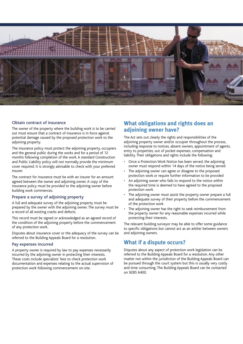

## Obtain contract of insurance

The owner of the property where the building work is to be carried out must ensure that a contract of insurance is in force against potential damage caused by the proposed protection work to the adjoining property.

The insurance policy must protect the adjoining property, occupiers and the general public during the works and for a period of 12 months following completion of the work. A standard Construction and Public Liability policy will not normally provide the minimum cover required. It is strongly advisable to check with your preferred insurer.

The contract for insurance must be with an insurer for an amount agreed between the owner and adjoining owner. A copy of the insurance policy must be provided to the adjoining owner before building work commences.

#### Prepare a survey of adjoining property

A full and adequate survey of the adjoining property must be prepared by the owner with the adjoining owner. The survey must be a record of all existing cracks and defects.

This record must be signed or acknowledged as an agreed record of the condition of the adjoining property before the commencement of any protection work.

Disputes about insurance cover or the adequacy of the survey can be referred to the Building Appeals Board for a resolution.

### Pay expenses incurred

A property owner is required by law to pay expenses necessarily incurred by the adjoining owner in protecting their interests. These costs include specialists' fees to check protection work documentation and expenses relating to the actual supervision of protection work following commencement on-site.

# **What obligations and rights does an adjoining owner have?**

The Act sets out clearly the rights and responsibilities of the adjoining property owner and/or occupier throughout the process, including response to notices, absent owners, appointment of agents, entry to properties, out of pocket expenses, compensation and liability. Their obligations and rights include the following:

- Once a Protection Work Notice has been served, the adjoining owner must respond within 14 days of the notice being served
- The adjoining owner can agree or disagree to the proposed protection work or require further information to be provided
- An adjoining owner who fails to respond to the notice within the required time is deemed to have agreed to the proposed protection work
- The adjoining owner must assist the property owner prepare a full and adequate survey of their property before the commencement of the protection work
- The adjoining owner has the right to seek reimbursement from the property owner for any reasonable expenses incurred while protecting their interests.

The relevant building surveyor may be able to offer some guidance to specific obligations but cannot act as an arbiter between owners and adjoining owners.

## **What if a dispute occurs?**

Disputes about any aspect of protection work legislation can be referred to the Building Appeals Board for a resolution. Any other matter not within the jurisdiction of the Building Appeals Board can be pursued through the court system but this is usually very costly and time consuming. The Building Appeals Board can be contacted on 9285 6400.